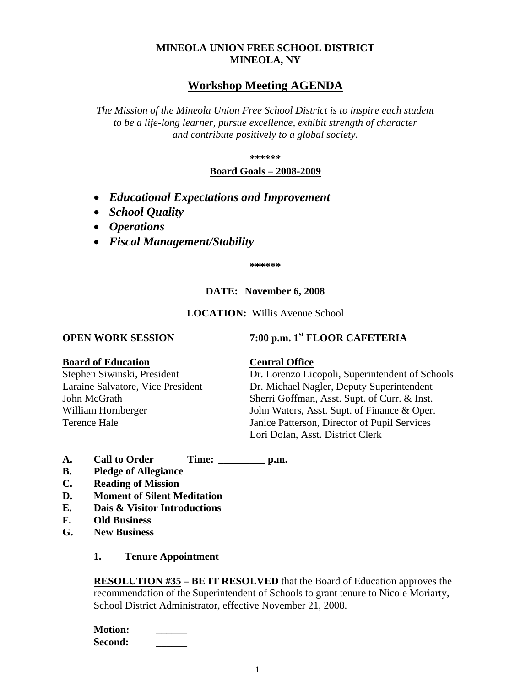# **MINEOLA UNION FREE SCHOOL DISTRICT MINEOLA, NY**

# **Workshop Meeting AGENDA**

*The Mission of the Mineola Union Free School District is to inspire each student to be a life-long learner, pursue excellence, exhibit strength of character and contribute positively to a global society.*

**\*\*\*\*\*\***

## **Board Goals – 2008-2009**

- *Educational Expectations and Improvement*
- *School Quality*
- *Operations*
- *Fiscal Management/Stability*

**\*\*\*\*\*\***

# **DATE: November 6, 2008**

**LOCATION:** Willis Avenue School

# **OPEN WORK SESSION 7:00 p.m. 1st <b>FLOOR CAFETERIA**

#### **Board of Education Central Office**

Stephen Siwinski, President Dr. Lorenzo Licopoli, Superintendent of Schools Laraine Salvatore, Vice President Dr. Michael Nagler, Deputy Superintendent John McGrath Sherri Goffman, Asst. Supt. of Curr. & Inst. William Hornberger John Waters, Asst. Supt. of Finance & Oper. Terence Hale Janice Patterson, Director of Pupil Services Lori Dolan, Asst. District Clerk

- **A. Call to Order Time: \_\_\_\_\_\_\_\_\_ p.m.**
- **B. Pledge of Allegiance**
- **C. Reading of Mission**
- **D. Moment of Silent Meditation**
- **E. Dais & Visitor Introductions**
- **F. Old Business**
- **G. New Business**

#### **1. Tenure Appointment**

**RESOLUTION #35 – BE IT RESOLVED** that the Board of Education approves the recommendation of the Superintendent of Schools to grant tenure to Nicole Moriarty, School District Administrator, effective November 21, 2008.

**Motion:** \_\_\_\_\_\_ **Second:** \_\_\_\_\_\_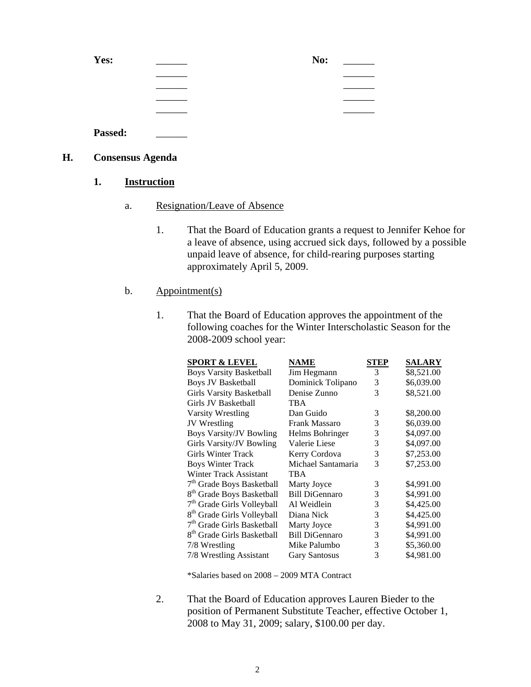| Yes:    | No: |
|---------|-----|
|         |     |
|         |     |
|         |     |
|         |     |
| Passed: |     |

# **H. Consensus Agenda**

- **1. Instruction**
	- a. Resignation/Leave of Absence
		- 1. That the Board of Education grants a request to Jennifer Kehoe for a leave of absence, using accrued sick days, followed by a possible unpaid leave of absence, for child-rearing purposes starting approximately April 5, 2009.

### b. Appointment(s)

1. That the Board of Education approves the appointment of the following coaches for the Winter Interscholastic Season for the 2008-2009 school year:

| <b>SPORT &amp; LEVEL</b>               | <b>NAME</b>           | STEP | <b>SALARY</b> |
|----------------------------------------|-----------------------|------|---------------|
| <b>Boys Varsity Basketball</b>         | Jim Hegmann           | 3    | \$8,521.00    |
| <b>Boys JV Basketball</b>              | Dominick Tolipano     | 3    | \$6,039.00    |
| <b>Girls Varsity Basketball</b>        | Denise Zunno          | 3    | \$8,521.00    |
| Girls JV Basketball                    | TBA                   |      |               |
| Varsity Wrestling                      | Dan Guido             | 3    | \$8,200.00    |
| <b>JV</b> Wrestling                    | <b>Frank Massaro</b>  | 3    | \$6,039.00    |
| <b>Boys Varsity/JV Bowling</b>         | Helms Bohringer       | 3    | \$4,097.00    |
| Girls Varsity/JV Bowling               | Valerie Liese         | 3    | \$4,097.00    |
| <b>Girls Winter Track</b>              | Kerry Cordova         | 3    | \$7,253.00    |
| <b>Boys Winter Track</b>               | Michael Santamaria    | 3    | \$7,253.00    |
| <b>Winter Track Assistant</b>          | TBA                   |      |               |
| 7 <sup>th</sup> Grade Boys Basketball  | Marty Joyce           | 3    | \$4,991.00    |
| 8 <sup>th</sup> Grade Boys Basketball  | <b>Bill DiGennaro</b> | 3    | \$4,991.00    |
| 7 <sup>th</sup> Grade Girls Volleyball | Al Weidlein           | 3    | \$4,425.00    |
| 8 <sup>th</sup> Grade Girls Volleyball | Diana Nick            | 3    | \$4,425.00    |
| 7 <sup>th</sup> Grade Girls Basketball | Marty Joyce           | 3    | \$4,991.00    |
| 8 <sup>th</sup> Grade Girls Basketball | <b>Bill DiGennaro</b> | 3    | \$4,991.00    |
| 7/8 Wrestling                          | Mike Palumbo          | 3    | \$5,360.00    |
| 7/8 Wrestling Assistant                | <b>Gary Santosus</b>  | 3    | \$4,981.00    |

\*Salaries based on 2008 – 2009 MTA Contract

2. That the Board of Education approves Lauren Bieder to the position of Permanent Substitute Teacher, effective October 1, 2008 to May 31, 2009; salary, \$100.00 per day.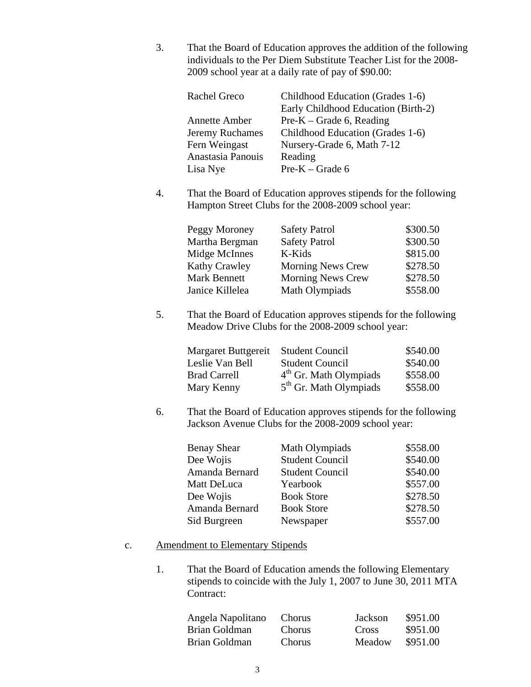3. That the Board of Education approves the addition of the following individuals to the Per Diem Substitute Teacher List for the 2008- 2009 school year at a daily rate of pay of \$90.00:

| <b>Rachel Greco</b>    | Childhood Education (Grades 1-6)    |
|------------------------|-------------------------------------|
|                        | Early Childhood Education (Birth-2) |
| <b>Annette Amber</b>   | $Pre-K-Grade 6$ , Reading           |
| <b>Jeremy Ruchames</b> | Childhood Education (Grades 1-6)    |
| Fern Weingast          | Nursery-Grade 6, Math 7-12          |
| Anastasia Panouis      | Reading                             |
| Lisa Nye               | $Pre-K-Grade 6$                     |
|                        |                                     |

4. That the Board of Education approves stipends for the following Hampton Street Clubs for the 2008-2009 school year:

| Peggy Moroney        | <b>Safety Patrol</b>     | \$300.50 |
|----------------------|--------------------------|----------|
| Martha Bergman       | <b>Safety Patrol</b>     | \$300.50 |
| Midge McInnes        | K-Kids                   | \$815.00 |
| <b>Kathy Crawley</b> | <b>Morning News Crew</b> | \$278.50 |
| <b>Mark Bennett</b>  | <b>Morning News Crew</b> | \$278.50 |
| Janice Killelea      | Math Olympiads           | \$558.00 |

5. That the Board of Education approves stipends for the following Meadow Drive Clubs for the 2008-2009 school year:

| Margaret Buttgereit | <b>Student Council</b>   | \$540.00 |
|---------------------|--------------------------|----------|
| Leslie Van Bell     | <b>Student Council</b>   | \$540.00 |
| <b>Brad Carrell</b> | $4th$ Gr. Math Olympiads | \$558.00 |
| Mary Kenny          | $5th$ Gr. Math Olympiads | \$558.00 |

6. That the Board of Education approves stipends for the following Jackson Avenue Clubs for the 2008-2009 school year:

| <b>Benay Shear</b> | Math Olympiads         | \$558.00 |
|--------------------|------------------------|----------|
| Dee Wojis          | <b>Student Council</b> | \$540.00 |
| Amanda Bernard     | <b>Student Council</b> | \$540.00 |
| Matt DeLuca        | Yearbook               | \$557.00 |
| Dee Wojis          | <b>Book Store</b>      | \$278.50 |
| Amanda Bernard     | <b>Book Store</b>      | \$278.50 |
| Sid Burgreen       | Newspaper              | \$557.00 |

### c. Amendment to Elementary Stipends

1. That the Board of Education amends the following Elementary stipends to coincide with the July 1, 2007 to June 30, 2011 MTA Contract:

| Angela Napolitano | <b>Chorus</b> | Jackson | \$951.00 |
|-------------------|---------------|---------|----------|
| Brian Goldman     | <b>Chorus</b> | Cross   | \$951.00 |
| Brian Goldman     | <b>Chorus</b> | Meadow  | \$951.00 |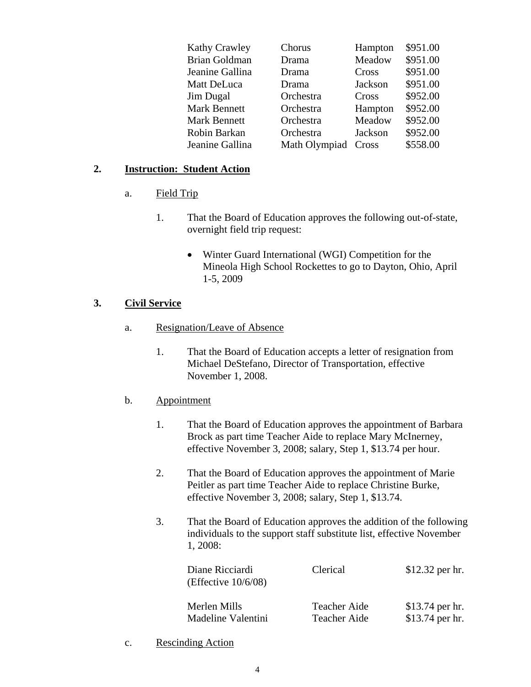| <b>Kathy Crawley</b> | Chorus        | Hampton | \$951.00 |
|----------------------|---------------|---------|----------|
| <b>Brian Goldman</b> | Drama         | Meadow  | \$951.00 |
| Jeanine Gallina      | Drama         | Cross   | \$951.00 |
| Matt DeLuca          | Drama         | Jackson | \$951.00 |
| <b>Jim Dugal</b>     | Orchestra     | Cross   | \$952.00 |
| <b>Mark Bennett</b>  | Orchestra     | Hampton | \$952.00 |
| <b>Mark Bennett</b>  | Orchestra     | Meadow  | \$952.00 |
| Robin Barkan         | Orchestra     | Jackson | \$952.00 |
| Jeanine Gallina      | Math Olympiad | Cross   | \$558.00 |
|                      |               |         |          |

# **2. Instruction: Student Action**

- a. Field Trip
	- 1. That the Board of Education approves the following out-of-state, overnight field trip request:
		- Winter Guard International (WGI) Competition for the Mineola High School Rockettes to go to Dayton, Ohio, April 1-5, 2009

# **3. Civil Service**

- a. Resignation/Leave of Absence
	- 1. That the Board of Education accepts a letter of resignation from Michael DeStefano, Director of Transportation, effective November 1, 2008.

# b. Appointment

- 1. That the Board of Education approves the appointment of Barbara Brock as part time Teacher Aide to replace Mary McInerney, effective November 3, 2008; salary, Step 1, \$13.74 per hour.
- 2. That the Board of Education approves the appointment of Marie Peitler as part time Teacher Aide to replace Christine Burke, effective November 3, 2008; salary, Step 1, \$13.74.
- 3. That the Board of Education approves the addition of the following individuals to the support staff substitute list, effective November 1, 2008:

| Diane Ricciardi<br>(Effective $10/6/08$ ) | Clerical     | \$12.32 per hr. |
|-------------------------------------------|--------------|-----------------|
| Merlen Mills                              | Teacher Aide | \$13.74 per hr. |
| Madeline Valentini                        | Teacher Aide | \$13.74 per hr. |

c. Rescinding Action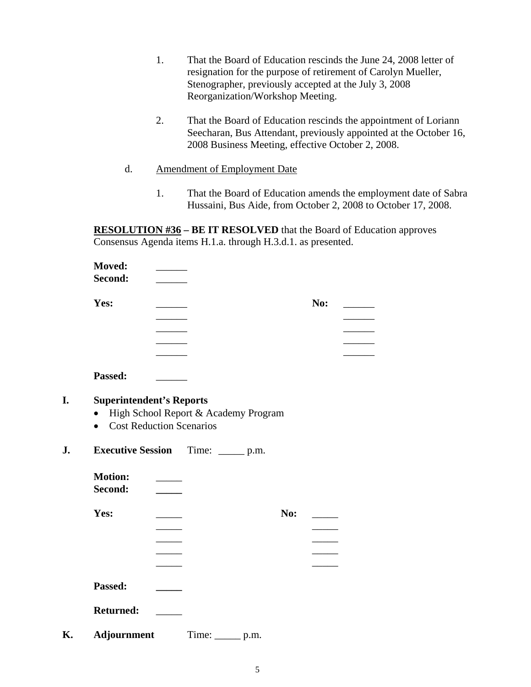- 1. That the Board of Education rescinds the June 24, 2008 letter of resignation for the purpose of retirement of Carolyn Mueller, Stenographer, previously accepted at the July 3, 2008 Reorganization/Workshop Meeting.
- 2. That the Board of Education rescinds the appointment of Loriann Seecharan, Bus Attendant, previously appointed at the October 16, 2008 Business Meeting, effective October 2, 2008.
- d. Amendment of Employment Date
	- 1. That the Board of Education amends the employment date of Sabra Hussaini, Bus Aide, from October 2, 2008 to October 17, 2008.

**RESOLUTION #36 – BE IT RESOLVED** that the Board of Education approves Consensus Agenda items H.1.a. through H.3.d.1. as presented.

| <b>Moved:</b>                   |                                      |     |     |
|---------------------------------|--------------------------------------|-----|-----|
| Second:                         |                                      |     |     |
| Yes:                            |                                      |     | No: |
|                                 |                                      |     |     |
|                                 |                                      |     |     |
|                                 |                                      |     |     |
|                                 |                                      |     |     |
| Passed:                         |                                      |     |     |
| <b>Superintendent's Reports</b> |                                      |     |     |
| $\bullet$                       | High School Report & Academy Program |     |     |
| $\bullet$                       | <b>Cost Reduction Scenarios</b>      |     |     |
|                                 |                                      |     |     |
| <b>Executive Session</b>        | Time: $\_\_\_\_p$ p.m.               |     |     |
| <b>Motion:</b>                  |                                      |     |     |
| Second:                         |                                      |     |     |
|                                 |                                      |     |     |
| Yes:                            |                                      | No: |     |
|                                 |                                      |     |     |
|                                 |                                      |     |     |
|                                 |                                      |     |     |
|                                 |                                      |     |     |
| Passed:                         |                                      |     |     |
|                                 |                                      |     |     |
|                                 |                                      |     |     |
| <b>Returned:</b>                |                                      |     |     |